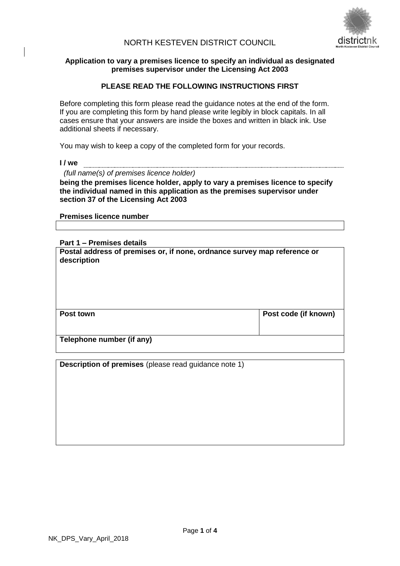

# NORTH KESTEVEN DISTRICT COUNCIL

### **Application to vary a premises licence to specify an individual as designated premises supervisor under the Licensing Act 2003**

# **PLEASE READ THE FOLLOWING INSTRUCTIONS FIRST**

Before completing this form please read the guidance notes at the end of the form. If you are completing this form by hand please write legibly in block capitals. In all cases ensure that your answers are inside the boxes and written in black ink. Use additional sheets if necessary.

You may wish to keep a copy of the completed form for your records.

**I / we**

 *(full name(s) of premises licence holder)*

**being the premises licence holder, apply to vary a premises licence to specify the individual named in this application as the premises supervisor under section 37 of the Licensing Act 2003**

**Premises licence number**

**Part 1 – Premises details**

**Postal address of premises or, if none, ordnance survey map reference or description**

Post town **Post town** 

**Telephone number (if any)**

**Description of premises** (please read guidance note 1)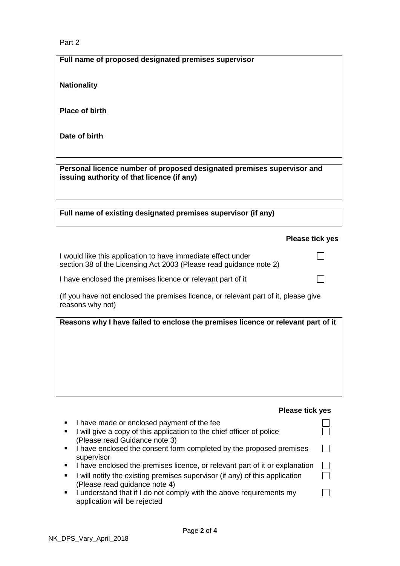# Part 2

**Full name of proposed designated premises supervisor**

**Nationality**

**Place of birth**

**Date of birth**

**Personal licence number of proposed designated premises supervisor and issuing authority of that licence (if any)**

**Full name of existing designated premises supervisor (if any)**

#### **Please tick yes**

 $\Box$ 

 $\Box$ 

| I would like this application to have immediate effect under       |  |
|--------------------------------------------------------------------|--|
| section 38 of the Licensing Act 2003 (Please read guidance note 2) |  |

I have enclosed the premises licence or relevant part of it

(If you have not enclosed the premises licence, or relevant part of it, please give reasons why not)

| Reasons why I have failed to enclose the premises licence or relevant part of it |  |
|----------------------------------------------------------------------------------|--|
|----------------------------------------------------------------------------------|--|

### **Please tick yes**

|   | I have made or enclosed payment of the fee<br>• I will give a copy of this application to the chief officer of police<br>(Please read Guidance note 3) |  |
|---|--------------------------------------------------------------------------------------------------------------------------------------------------------|--|
|   | I have enclosed the consent form completed by the proposed premises<br>supervisor                                                                      |  |
| ٠ | I have enclosed the premises licence, or relevant part of it or explanation                                                                            |  |
|   | I will notify the existing premises supervisor (if any) of this application<br>(Please read guidance note 4)                                           |  |
|   | I understand that if I do not comply with the above requirements my<br>application will be rejected                                                    |  |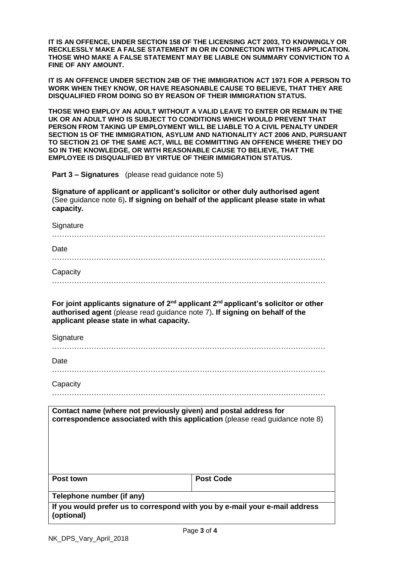**IT IS AN OFFENCE, UNDER SECTION 158 OF THE LICENSING ACT 2003, TO KNOWINGLY OR RECKLESSLY MAKE A FALSE STATEMENT IN OR IN CONNECTION WITH THIS APPLICATION. THOSE WHO MAKE A FALSE STATEMENT MAY BE LIABLE ON SUMMARY CONVICTION TO A FINE OF ANY AMOUNT.** 

**IT IS AN OFFENCE UNDER SECTION 24B OF THE IMMIGRATION ACT 1971 FOR A PERSON TO WORK WHEN THEY KNOW, OR HAVE REASONABLE CAUSE TO BELIEVE, THAT THEY ARE DISQUALIFIED FROM DOING SO BY REASON OF THEIR IMMIGRATION STATUS.**

**THOSE WHO EMPLOY AN ADULT WITHOUT A VALID LEAVE TO ENTER OR REMAIN IN THE UK OR AN ADULT WHO IS SUBJECT TO CONDITIONS WHICH WOULD PREVENT THAT PERSON FROM TAKING UP EMPLOYMENT WILL BE LIABLE TO A CIVIL PENALTY UNDER SECTION 15 OF THE IMMIGRATION, ASYLUM AND NATIONALITY ACT 2006 AND, PURSUANT TO SECTION 21 OF THE SAME ACT, WILL BE COMMITTING AN OFFENCE WHERE THEY DO SO IN THE KNOWLEDGE, OR WITH REASONABLE CAUSE TO BELIEVE, THAT THE EMPLOYEE IS DISQUALIFIED BY VIRTUE OF THEIR IMMIGRATION STATUS.**

**Part 3 – Signatures** (please read guidance note 5)

**Signature of applicant or applicant's solicitor or other duly authorised agent**  (See guidance note 6)**. If signing on behalf of the applicant please state in what capacity.**

| Signature                                                                                                                                                                                                               |                  |  |  |
|-------------------------------------------------------------------------------------------------------------------------------------------------------------------------------------------------------------------------|------------------|--|--|
| Date                                                                                                                                                                                                                    |                  |  |  |
| Capacity                                                                                                                                                                                                                |                  |  |  |
| For joint applicants signature of $2^{nd}$ applicant $2^{nd}$ applicant's solicitor or other<br>authorised agent (please read guidance note 7). If signing on behalf of the<br>applicant please state in what capacity. |                  |  |  |
| Signature                                                                                                                                                                                                               |                  |  |  |
| Date                                                                                                                                                                                                                    |                  |  |  |
| Capacity                                                                                                                                                                                                                |                  |  |  |
| Contact name (where not previously given) and postal address for<br>correspondence associated with this application (please read guidance note 8)                                                                       |                  |  |  |
| Post town                                                                                                                                                                                                               | <b>Post Code</b> |  |  |

**Telephone number (if any)** 

**If you would prefer us to correspond with you by e-mail your e-mail address (optional)**